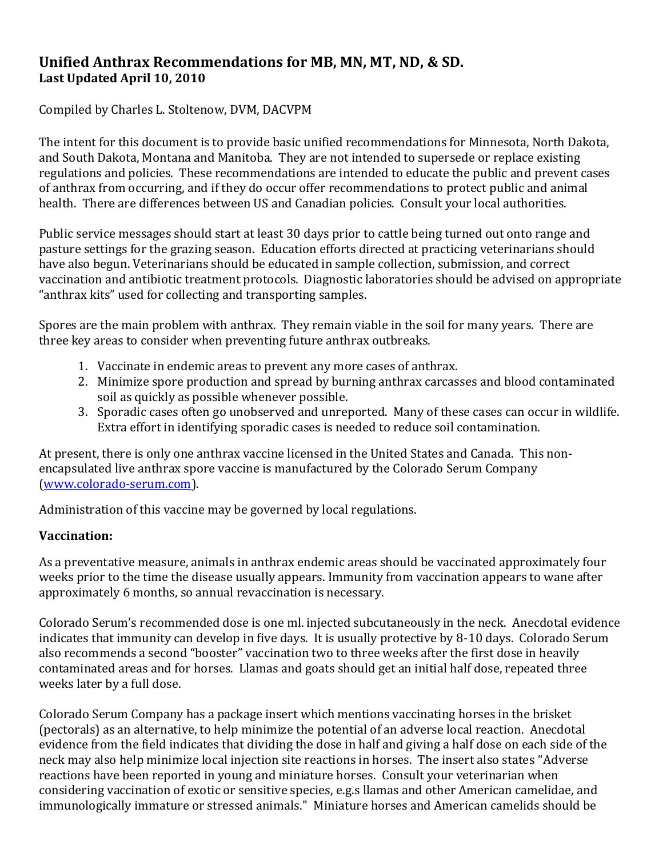# **Unified Anthrax Recommendations for MB, MN, MT, ND, & SD. Last Updated April 10, 2010**

Compiled by Charles L. Stoltenow, DVM, DACVPM

The intent for this document is to provide basic unified recommendations for Minnesota, North Dakota, and South Dakota, Montana and Manitoba. They are not intended to supersede or replace existing regulations and policies. These recommendations are intended to educate the public and prevent cases of anthrax from occurring, and if they do occur offer recommendations to protect public and animal health. There are differences between US and Canadian policies. Consult your local authorities.

Public service messages should start at least 30 days prior to cattle being turned out onto range and pasture settings for the grazing season. Education efforts directed at practicing veterinarians should have also begun. Veterinarians should be educated in sample collection, submission, and correct vaccination and antibiotic treatment protocols. Diagnostic laboratories should be advised on appropriate "anthrax kits" used for collecting and transporting samples.

Spores are the main problem with anthrax. They remain viable in the soil for many years. There are three key areas to consider when preventing future anthrax outbreaks.

- 1. Vaccinate in endemic areas to prevent any more cases of anthrax.
- 2. Minimize spore production and spread by burning anthrax carcasses and blood contaminated soil as quickly as possible whenever possible.
- 3. Sporadic cases often go unobserved and unreported. Many of these cases can occur in wildlife. Extra effort in identifying sporadic cases is needed to reduce soil contamination.

At present, there is only one anthrax vaccine licensed in the United States and Canada. This nonencapsulated live anthrax spore vaccine is manufactured by the Colorado Serum Company [\(www.colorado-serum.com\)](file:///C:/MyFiles/2010/Service/Anthrax2010/www.colorado-serum.com).

Administration of this vaccine may be governed by local regulations.

# **Vaccination:**

As a preventative measure, animals in anthrax endemic areas should be vaccinated approximately four weeks prior to the time the disease usually appears. Immunity from vaccination appears to wane after approximately 6 months, so annual revaccination is necessary.

Colorado Serum's recommended dose is one ml. injected subcutaneously in the neck. Anecdotal evidence indicates that immunity can develop in five days. It is usually protective by 8-10 days. Colorado Serum also recommends a second "booster" vaccination two to three weeks after the first dose in heavily contaminated areas and for horses. Llamas and goats should get an initial half dose, repeated three weeks later by a full dose.

Colorado Serum Company has a package insert which mentions vaccinating horses in the brisket (pectorals) as an alternative, to help minimize the potential of an adverse local reaction. Anecdotal evidence from the field indicates that dividing the dose in half and giving a half dose on each side of the neck may also help minimize local injection site reactions in horses. The insert also states "Adverse reactions have been reported in young and miniature horses. Consult your veterinarian when considering vaccination of exotic or sensitive species, e.g.s llamas and other American camelidae, and immunologically immature or stressed animals." Miniature horses and American camelids should be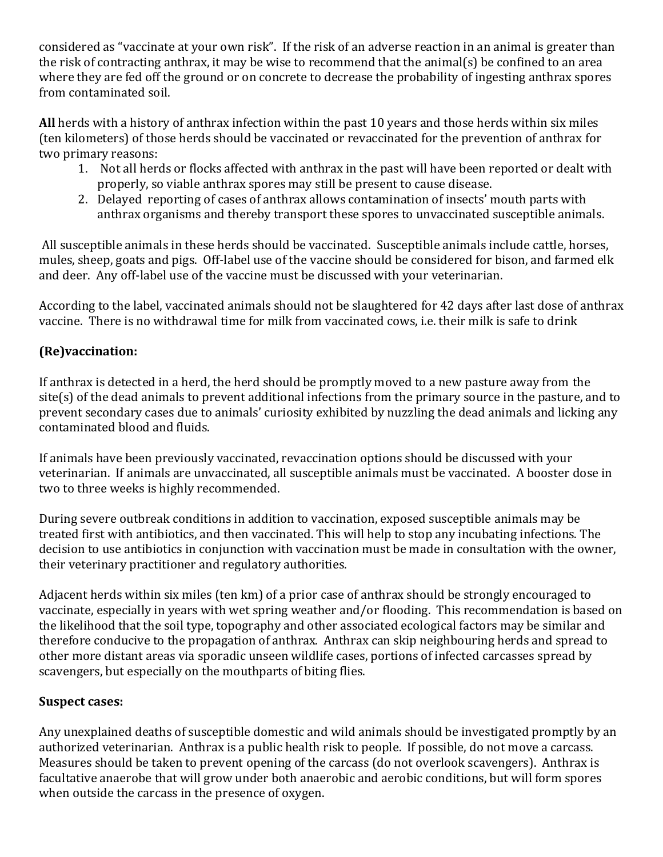considered as "vaccinate at your own risk". If the risk of an adverse reaction in an animal is greater than the risk of contracting anthrax, it may be wise to recommend that the animal(s) be confined to an area where they are fed off the ground or on concrete to decrease the probability of ingesting anthrax spores from contaminated soil.

**All** herds with a history of anthrax infection within the past 10 years and those herds within six miles (ten kilometers) of those herds should be vaccinated or revaccinated for the prevention of anthrax for two primary reasons:

- 1. Not all herds or flocks affected with anthrax in the past will have been reported or dealt with properly, so viable anthrax spores may still be present to cause disease.
- 2. Delayed reporting of cases of anthrax allows contamination of insects' mouth parts with anthrax organisms and thereby transport these spores to unvaccinated susceptible animals.

All susceptible animals in these herds should be vaccinated. Susceptible animals include cattle, horses, mules, sheep, goats and pigs. Off-label use of the vaccine should be considered for bison, and farmed elk and deer. Any off-label use of the vaccine must be discussed with your veterinarian.

According to the label, vaccinated animals should not be slaughtered for 42 days after last dose of anthrax vaccine. There is no withdrawal time for milk from vaccinated cows, i.e. their milk is safe to drink

# **(Re)vaccination:**

If anthrax is detected in a herd, the herd should be promptly moved to a new pasture away from the site(s) of the dead animals to prevent additional infections from the primary source in the pasture, and to prevent secondary cases due to animals' curiosity exhibited by nuzzling the dead animals and licking any contaminated blood and fluids.

If animals have been previously vaccinated, revaccination options should be discussed with your veterinarian. If animals are unvaccinated, all susceptible animals must be vaccinated. A booster dose in two to three weeks is highly recommended.

During severe outbreak conditions in addition to vaccination, exposed susceptible animals may be treated first with antibiotics, and then vaccinated. This will help to stop any incubating infections. The decision to use antibiotics in conjunction with vaccination must be made in consultation with the owner, their veterinary practitioner and regulatory authorities.

Adjacent herds within six miles (ten km) of a prior case of anthrax should be strongly encouraged to vaccinate, especially in years with wet spring weather and/or flooding. This recommendation is based on the likelihood that the soil type, topography and other associated ecological factors may be similar and therefore conducive to the propagation of anthrax. Anthrax can skip neighbouring herds and spread to other more distant areas via sporadic unseen wildlife cases, portions of infected carcasses spread by scavengers, but especially on the mouthparts of biting flies.

# **Suspect cases:**

Any unexplained deaths of susceptible domestic and wild animals should be investigated promptly by an authorized veterinarian. Anthrax is a public health risk to people. If possible, do not move a carcass. Measures should be taken to prevent opening of the carcass (do not overlook scavengers). Anthrax is facultative anaerobe that will grow under both anaerobic and aerobic conditions, but will form spores when outside the carcass in the presence of oxygen.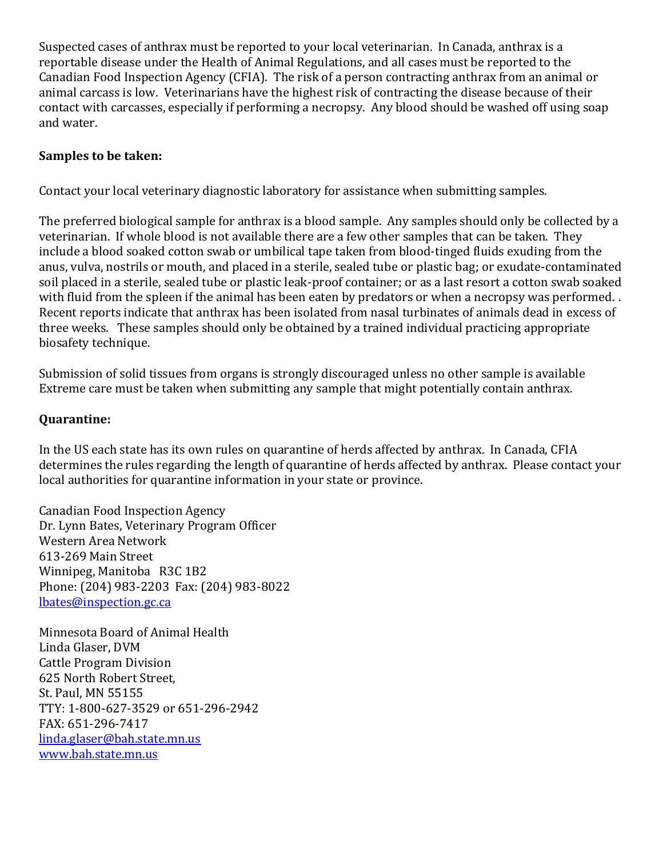Suspected cases of anthrax must be reported to your local veterinarian. In Canada, anthrax is a reportable disease under the Health of Animal Regulations, and all cases must be reported to the Canadian Food Inspection Agency (CFIA). The risk of a person contracting anthrax from an animal or animal carcass is low. Veterinarians have the highest risk of contracting the disease because of their contact with carcasses, especially if performing a necropsy. Any blood should be washed off using soap and water.

### **Samples to be taken:**

Contact your local veterinary diagnostic laboratory for assistance when submitting samples.

The preferred biological sample for anthrax is a blood sample. Any samples should only be collected by a veterinarian. If whole blood is not available there are a few other samples that can be taken. They include a blood soaked cotton swab or umbilical tape taken from blood-tinged fluids exuding from the anus, vulva, nostrils or mouth, and placed in a sterile, sealed tube or plastic bag; or exudate-contaminated soil placed in a sterile, sealed tube or plastic leak-proof container; or as a last resort a cotton swab soaked with fluid from the spleen if the animal has been eaten by predators or when a necropsy was performed. . Recent reports indicate that anthrax has been isolated from nasal turbinates of animals dead in excess of three weeks. These samples should only be obtained by a trained individual practicing appropriate biosafety technique.

Submission of solid tissues from organs is strongly discouraged unless no other sample is available Extreme care must be taken when submitting any sample that might potentially contain anthrax.

#### **Quarantine:**

In the US each state has its own rules on quarantine of herds affected by anthrax. In Canada, CFIA determines the rules regarding the length of quarantine of herds affected by anthrax. Please contact your local authorities for quarantine information in your state or province.

Canadian Food Inspection Agency Dr. Lynn Bates, Veterinary Program Officer Western Area Network 613-269 Main Street Winnipeg, Manitoba R3C 1B2 Phone: (204) 983-2203 Fax: (204) 983-8022 [lbates@inspection.gc.ca](mailto:lbates@inspection.gc.ca)

Minnesota Board of Animal Health Linda Glaser, DVM Cattle Program Division 625 North Robert Street, St. Paul, MN 55155 TTY: 1-800-627-3529 or 651-296-2942 FAX: 651-296-7417 [linda.glaser@bah.state.mn.us](mailto:linda.glaser@bah.state.mn.us) [www.bah.state.mn.us](http://www.bah.state.mn.us/)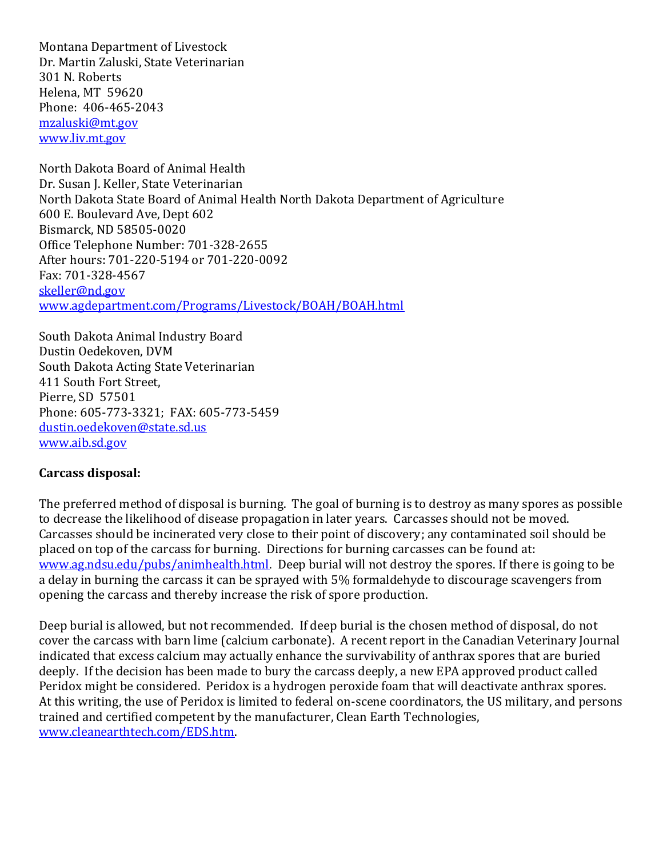Montana Department of Livestock Dr. Martin Zaluski, State Veterinarian 301 N. Roberts Helena, MT 59620 Phone: 406-465-2043 [mzaluski@mt.gov](mailto:mzaluski@mt.gov) [www.liv.mt.gov](http://www.liv.mt.gov/)

North Dakota Board of Animal Health Dr. Susan J. Keller, State Veterinarian North Dakota State Board of Animal Health North Dakota Department of Agriculture 600 E. Boulevard Ave, Dept 602 Bismarck, ND 58505-0020 Office Telephone Number: 701-328-2655 After hours: 701-220-5194 or 701-220-0092 Fax: 701-328-4567 [skeller@nd.gov](mailto:skeller@nd.gov) [www.agdepartment.com/Programs/Livestock/BOAH/BOAH.html](http://www.agdepartment.com/Programs/Livestock/BOAH/BOAH.html)

South Dakota Animal Industry Board Dustin Oedekoven, DVM South Dakota Acting State Veterinarian 411 South Fort Street, Pierre, SD 57501 Phone: 605-773-3321; FAX: 605-773-5459 [dustin.oedekoven@state.sd.us](mailto:dustin.oedekoven@state.sd.us) [www.aib.sd.gov](http://www.aib.sd.gov/)

#### **Carcass disposal:**

The preferred method of disposal is burning. The goal of burning is to destroy as many spores as possible to decrease the likelihood of disease propagation in later years. Carcasses should not be moved. Carcasses should be incinerated very close to their point of discovery; any contaminated soil should be placed on top of the carcass for burning. Directions for burning carcasses can be found at: [www.ag.ndsu.edu/pubs/animhealth.html.](http://www.ag.ndsu.edu/pubs/animhealth.html) Deep burial will not destroy the spores. If there is going to be a delay in burning the carcass it can be sprayed with 5% formaldehyde to discourage scavengers from opening the carcass and thereby increase the risk of spore production.

Deep burial is allowed, but not recommended. If deep burial is the chosen method of disposal, do not cover the carcass with barn lime (calcium carbonate). A recent report in the Canadian Veterinary Journal indicated that excess calcium may actually enhance the survivability of anthrax spores that are buried deeply. If the decision has been made to bury the carcass deeply, a new EPA approved product called Peridox might be considered. Peridox is a hydrogen peroxide foam that will deactivate anthrax spores. At this writing, the use of Peridox is limited to federal on-scene coordinators, the US military, and persons trained and certified competent by the manufacturer, Clean Earth Technologies, [www.cleanearthtech.com/EDS.htm.](http://www.cleanearthtech.com/EDS.htm)